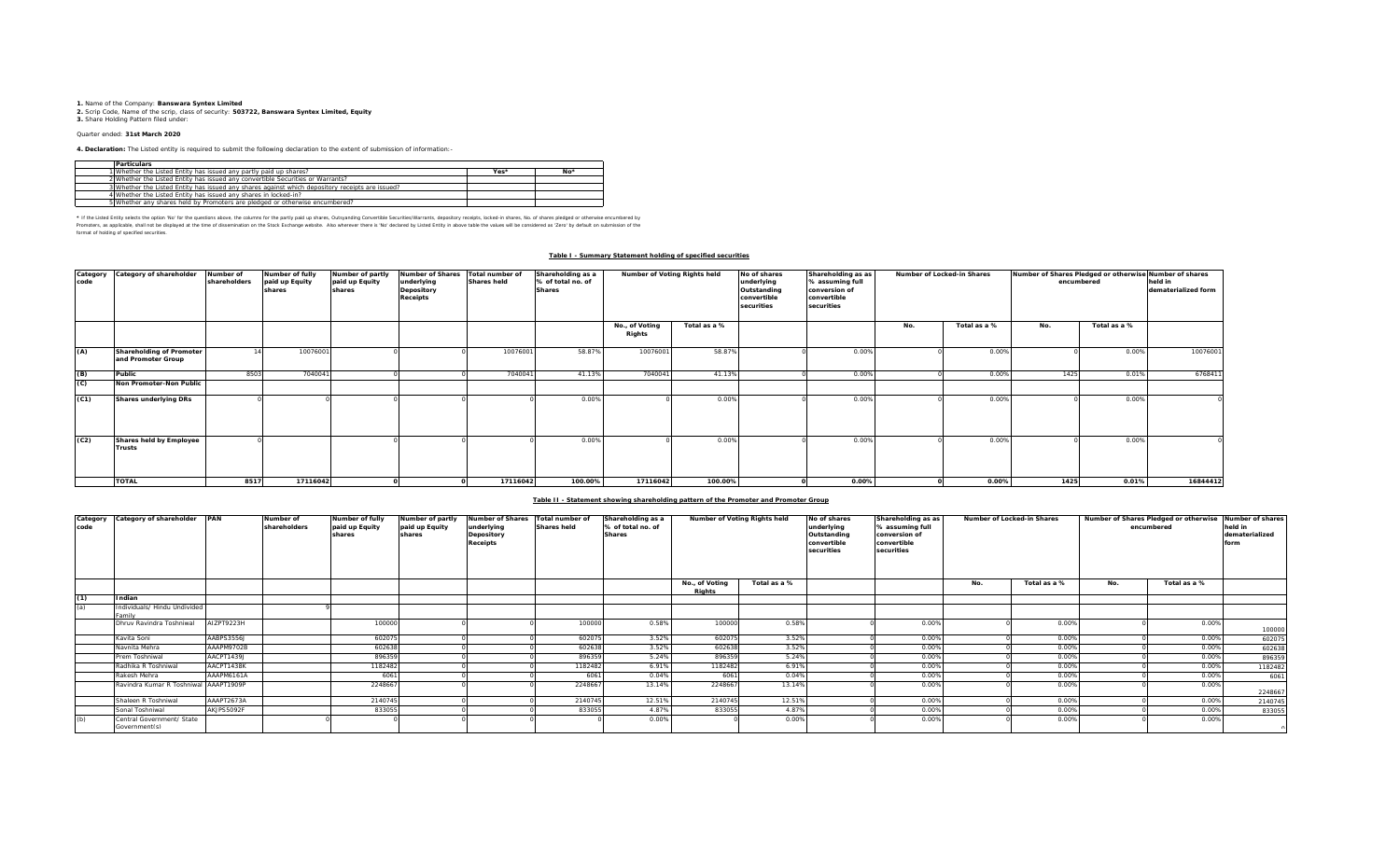**1.** Name of the Company: **Banswara Syntex Limited 2.** Scrip Code, Name of the scrip, class of security: **503722, Banswara Syntex Limited, Equity 3.** Share Holding Pattern filed under:

# Quarter ended: **31st March 2020**

**4. Declaration:** The Listed entity is required to submit the following declaration to the extent of submission of information:-

| <b>Particulars</b>                                                                              |      |       |
|-------------------------------------------------------------------------------------------------|------|-------|
| 1 Whether the Listed Entity has issued any partly paid up shares?                               | Yes* | $No*$ |
| 2 Whether the Listed Entity has issued any convertible Securities or Warrants?                  |      |       |
| 3 Whether the Listed Entity has issued any shares against which depository receipts are issued? |      |       |
| 4 Whether the Listed Entity has issued any shares in locked-in?                                 |      |       |
| 5 Whether any shares held by Promoters are pledged or otherwise encumbered?                     |      |       |

\* If ne Listed Ently selects ine opton War for the equasitons above, the outwars for the partly share, Quityandng Convertible Securities/Warrants, depository receipts, boked-in shares, No. of shares predget or otherwise in format of holding of specified securities.

### **Table I - Summary Statement holding of specified securities**

| code | Category Category of shareholder               | Number of<br>shareholders | Number of fully<br>paid up Equity<br>shares | Number of partly<br>paid up Equity<br>shares | Number of Shares Total number of<br>underlying<br>Depository<br>Receipts | <b>Shares held</b> | Shareholding as a<br>% of total no. of<br><b>Shares</b> | Number of Voting Rights held |              | No of shares<br>underlying<br>Outstanding<br>convertible<br>securities | Shareholding as as<br>% assuming full<br>conversion of<br>convertible<br>securities | Number of Locked-in Shares |              | Number of Shares Pledged or otherwise Number of shares<br>encumbered | held in<br>dematerialized form |          |
|------|------------------------------------------------|---------------------------|---------------------------------------------|----------------------------------------------|--------------------------------------------------------------------------|--------------------|---------------------------------------------------------|------------------------------|--------------|------------------------------------------------------------------------|-------------------------------------------------------------------------------------|----------------------------|--------------|----------------------------------------------------------------------|--------------------------------|----------|
|      |                                                |                           |                                             |                                              |                                                                          |                    |                                                         | No., of Voting<br>Rights     | Total as a % |                                                                        |                                                                                     | No.                        | Total as a % | No.                                                                  | Total as a %                   |          |
| (A)  | Shareholding of Promoter<br>and Promoter Group |                           | 10076001                                    |                                              |                                                                          | 10076001           | 58.87%                                                  | 10076001                     | 58.87%       |                                                                        | 0.00%                                                                               |                            | 0.00%        |                                                                      | 0.00%                          | 10076001 |
| (B)  | Public                                         | 8503                      | 7040041                                     |                                              |                                                                          | 7040041            | 41.13%                                                  | 7040041                      | 41.13%       |                                                                        | 0.00%                                                                               |                            | 0.00%        | 1425                                                                 | 0.01%                          | 6768411  |
| (C)  | Non Promoter-Non Public                        |                           |                                             |                                              |                                                                          |                    |                                                         |                              |              |                                                                        |                                                                                     |                            |              |                                                                      |                                |          |
| (C1) | Shares underlying DRs                          |                           |                                             |                                              |                                                                          |                    | 0.00%                                                   |                              | 0.00%        |                                                                        | 0.00%                                                                               |                            | 0.00%        |                                                                      | 0.00%                          |          |
| (C2) | Shares held by Employee<br>Trusts              |                           |                                             |                                              |                                                                          |                    | 0.009                                                   |                              | 0.00%        |                                                                        | 0.00%                                                                               |                            | 0.00%        |                                                                      | 0.00%                          |          |
|      | <b>TOTAL</b>                                   | 8517                      | 17116042                                    |                                              |                                                                          | 17116042           | 100.00%                                                 | 17116042                     | 100.00%      |                                                                        | 0.00%                                                                               |                            | 0.00%        | 1425                                                                 | 0.01%                          | 16844412 |

### **Table II - Statement showing shareholding pattern of the Promoter and Promoter Group**

| Category<br>code | Category of shareholder PAN               |            | Number of<br>shareholders | Number of fully<br>paid up Equity<br>shares | Number of partly<br>paid up Equity<br>shares | <b>Number of Shares</b><br>underlying<br>Depository<br>Receipts | Total number of<br><b>Shares held</b> | Shareholding as a<br>% of total no. of<br><b>Shares</b> | Number of Voting Rights held |              | No of shares<br>underlying<br>Outstanding<br>convertible<br>securities | Shareholding as as<br>% assuming full<br>conversion of<br>convertible<br>securities |     | Number of Locked-in Shares |     | Number of Shares Pledged or otherwise<br>encumbered | Number of shares<br>held in<br>dematerialized<br>form |
|------------------|-------------------------------------------|------------|---------------------------|---------------------------------------------|----------------------------------------------|-----------------------------------------------------------------|---------------------------------------|---------------------------------------------------------|------------------------------|--------------|------------------------------------------------------------------------|-------------------------------------------------------------------------------------|-----|----------------------------|-----|-----------------------------------------------------|-------------------------------------------------------|
|                  |                                           |            |                           |                                             |                                              |                                                                 |                                       |                                                         | No., of Voting<br>Riahts     | Total as a % |                                                                        |                                                                                     | No. | Total as a %               | No. | Total as a %                                        |                                                       |
| (1)              | Indian                                    |            |                           |                                             |                                              |                                                                 |                                       |                                                         |                              |              |                                                                        |                                                                                     |     |                            |     |                                                     |                                                       |
| (a)              | Individuals/ Hindu Undivided<br>amily     |            |                           |                                             |                                              |                                                                 |                                       |                                                         |                              |              |                                                                        |                                                                                     |     |                            |     |                                                     |                                                       |
|                  | Dhruy Ravindra Toshniwal                  | AIZPT9223H |                           | 100000                                      |                                              |                                                                 | 100000                                | 0.58%                                                   | 100000                       | 0.58%        |                                                                        | 0.00%                                                                               |     | 0.00%                      |     | 0.00%                                               | 100000                                                |
|                  | Kavita Soni                               | AABPS3556J |                           | 602075                                      |                                              |                                                                 | 602075                                | 3.52%                                                   | 602075                       | 3.52%        |                                                                        | 0.00%                                                                               |     | 0.00%                      |     | 0.00%                                               | 602075                                                |
|                  | Navnita Mehra                             | AAAPM9702B |                           | 60263                                       |                                              |                                                                 | 60263                                 | 3.52%                                                   | 602638                       | 3.52%        |                                                                        | 0.00%                                                                               |     | 0.00%                      |     | 0.00%                                               | 602638                                                |
|                  | Prem Toshniwal                            | AACPT1439J |                           | 896359                                      |                                              |                                                                 | 89635                                 | 5.24%                                                   | 896359                       | 5.24%        |                                                                        | 0.00%                                                                               |     | 0.00%                      |     | 0.00%                                               | 896359                                                |
|                  | Radhika R Toshniwal                       | AACPT1438K |                           | 1182482                                     |                                              |                                                                 | 1182482                               | 6.91%                                                   | 1182482                      | 6.91%        |                                                                        | 0.00%                                                                               |     | 0.00%                      |     | 0.00%                                               | 1182482                                               |
|                  | Rakesh Mehra                              | AAAPM6161A |                           | 6061                                        |                                              |                                                                 | 6061                                  | 0.04%                                                   | 6061                         | 0.04%        |                                                                        | 0.00%                                                                               |     | 0.00%                      |     | 0.00%                                               | 6061                                                  |
|                  | Ravindra Kumar R Toshniwal AAAPT1909P     |            |                           | 2248667                                     |                                              |                                                                 | 224866                                | 13.14%                                                  | 2248667                      | 13.14%       |                                                                        | 0.00%                                                                               |     | 0.00%                      |     | 0.00%                                               | 2248667                                               |
|                  | Shaleen R Toshniwal                       | AAAPT2673A |                           | 2140745                                     |                                              |                                                                 | 2140745                               | 12.51%                                                  | 2140745                      | 12.51%       |                                                                        | 0.00%                                                                               |     | 0.00%                      |     | 0.00%                                               | 2140745                                               |
|                  | Sonal Toshniwal                           | AKJPS5092F |                           | 833055                                      |                                              |                                                                 | 833055                                | 4.879                                                   | 833055                       | 4.87%        |                                                                        | 0.00%                                                                               |     | 0.00%                      |     | 0.00%                                               | 833055                                                |
| (b)              | Central Government/ State<br>Goverment(s) |            |                           |                                             |                                              |                                                                 |                                       | 0.009                                                   |                              | 0.00%        |                                                                        | 0.00%                                                                               |     | 0.009                      |     | 0.00%                                               |                                                       |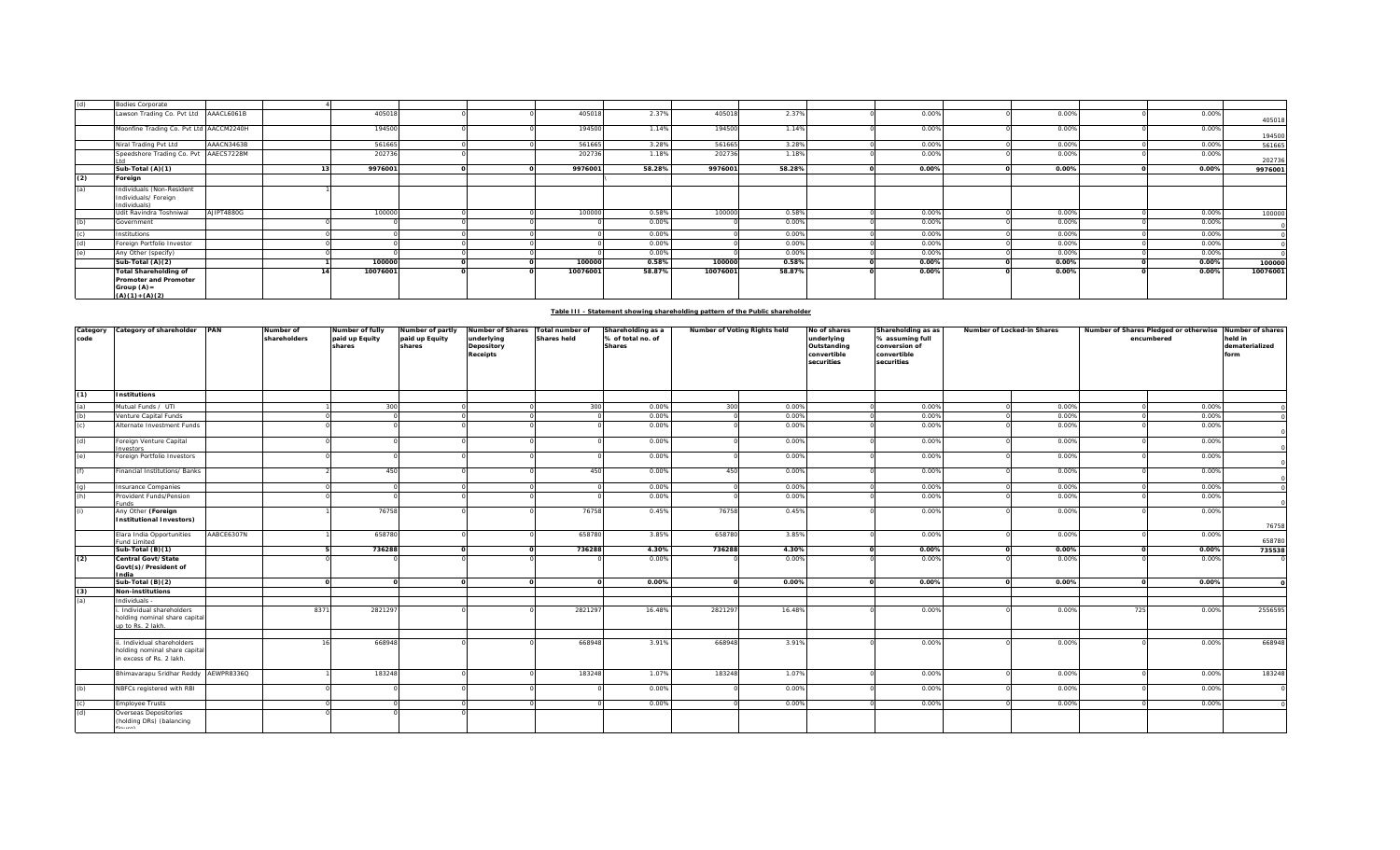| (d) | <b>Bodies Corporate</b>                                                                   |            |          |  |          |        |          |        |       |       |          |          |
|-----|-------------------------------------------------------------------------------------------|------------|----------|--|----------|--------|----------|--------|-------|-------|----------|----------|
|     | Lawson Trading Co. Pvt Ltd AAACL6061B                                                     |            | 405018   |  | 405018   | 2.37%  | 405018   | 2.37%  | 0.00% | 0.00% | 0.00%    | 405018   |
|     | Moonfine Trading Co. Pvt Ltd AACCM2240H                                                   |            | 194500   |  | 194500   | 1.14%  | 194500   | 1.14%  | 0.00% | 0.00% | 0.00%    | 194500   |
|     | Niral Trading Pvt Ltd                                                                     | AAACN3463B | 561665   |  | 561665   | 3.28%  | 561665   | 3.28%  | 0.00% | 0.00% | 0.00%    | 561665   |
|     | Speedshore Trading Co. Pvt AAECS7228M                                                     |            | 202736   |  | 202736   | 1.18%  | 202736   | 1.18%  | 0.00% | 0.00% | 0.00%    | 202736   |
|     | Sub-Total (A)(1)                                                                          |            | 9976001  |  | 9976001  | 58.28% | 9976001  | 58.28% | 0.00% | 0.00% | 0.00%    | 9976001  |
| (2) | Foreign                                                                                   |            |          |  |          |        |          |        |       |       |          |          |
| (a) | Individuals (Non-Resident<br>Individuals/ Foreign<br>Individuals)                         |            |          |  |          |        |          |        |       |       |          |          |
|     | Udit Ravindra Toshniwal                                                                   | AJIPT4880G | 100000   |  | 100000   | 0.58%  | 100000   | 0.58%  | 0.00% | 0.00% | 0.00%    | 100000   |
| (h) | Government                                                                                |            |          |  |          | 0.00%  |          | 0.00%  | 0.00% | 0.00% | 0.00%    |          |
|     | Institutions                                                                              |            |          |  |          | 0.00%  |          | 0.00%  | 0.00% | 0.00% | 0.00%    |          |
|     | Foreign Portfolio Investor                                                                |            |          |  |          | 0.00%  |          | 0.00%  | 0.00% | 0.00% | 0.00%    |          |
|     | Any Other (specify)                                                                       |            |          |  |          | 0.00%  |          | 0.00%  | 0.00% | 0.00% | 0.00%    |          |
|     | Sub-Total (A)(2)                                                                          |            | 100000   |  | 100000   | 0.58%  | 100000   | 0.58%  | 0.00% | 0.00% | $0.00\%$ | 100000   |
|     | <b>Total Shareholding of</b><br>Promoter and Promoter<br>Group $(A)$ =<br>$(A)(1)+(A)(2)$ |            | 10076001 |  | 10076001 | 58.87% | 10076001 | 58.87% | 0.00% | 0.00% | 0.00%    | 10076001 |

## **Table III - Statement showing shareholding pattern of the Public shareholder**

| code<br>(1) | Category Category of shareholder PAN<br><b>Institutions</b>                            |            | Number of<br>shareholders | Number of fully<br>paid up Equity<br>shares | Number of partly<br>paid up Equity<br>shares | Number of Shares<br>underlying<br>Depository<br>Receipts | Total number of<br><b>Shares held</b> | Shareholding as a<br>% of total no. of<br><b>Shares</b> | Number of Voting Rights held |                | No of shares<br>underlying<br>Outstanding<br>convertible<br>securities | Shareholding as as<br>% assuming full<br>conversion of<br>convertible<br>securities | Number of Locked-in Shares |                |          | Number of Shares Pledged or otherwise Number of shares<br>encumbered | held in<br>dematerialized<br>form |
|-------------|----------------------------------------------------------------------------------------|------------|---------------------------|---------------------------------------------|----------------------------------------------|----------------------------------------------------------|---------------------------------------|---------------------------------------------------------|------------------------------|----------------|------------------------------------------------------------------------|-------------------------------------------------------------------------------------|----------------------------|----------------|----------|----------------------------------------------------------------------|-----------------------------------|
|             |                                                                                        |            |                           |                                             |                                              |                                                          |                                       |                                                         |                              |                |                                                                        |                                                                                     |                            |                |          |                                                                      |                                   |
| (a)<br>(b)  | Mutual Funds / UTI<br>Venture Capital Funds                                            |            |                           | 300                                         |                                              |                                                          | 300                                   | 0.00%<br>0.00%                                          | 300                          | 0.00%<br>0.00% |                                                                        | 0.00%<br>0.00%                                                                      |                            | 0.00%<br>0.00% |          | 0.00%<br>0.009                                                       |                                   |
| (c)         | Alternate Investment Funds                                                             |            |                           |                                             |                                              |                                                          |                                       | 0.00%                                                   |                              | 0.00%          |                                                                        | 0.00%                                                                               |                            | 0.00%          |          | 0.00%                                                                |                                   |
| (d)         | Foreign Venture Capital<br>nvestors                                                    |            |                           |                                             |                                              |                                                          |                                       | 0.00%                                                   |                              | 0.00%          |                                                                        | 0.00%                                                                               |                            | 0.00%          |          | 0.00%                                                                |                                   |
| (e)         | Foreign Portfolio Investors                                                            |            |                           |                                             |                                              |                                                          |                                       | 0.00%                                                   |                              | 0.00%          |                                                                        | 0.00%                                                                               |                            | 0.00%          |          | 0.00%                                                                |                                   |
| (f)         | Financial Institutions/ Banks                                                          |            |                           | 450                                         |                                              |                                                          | 450                                   | 0.00%                                                   | 450                          | 0.00%          |                                                                        | 0.00%                                                                               |                            | 0.00%          |          | 0.00%                                                                |                                   |
| (q)         | Insurance Companies                                                                    |            |                           |                                             |                                              |                                                          |                                       | 0.00%                                                   |                              | 0.00%          |                                                                        | 0.00%                                                                               |                            | 0.00%          |          | 0.00%                                                                |                                   |
| (h)         | Provident Funds/Pension<br>unds                                                        |            |                           |                                             |                                              |                                                          |                                       | 0.00%                                                   |                              | 0.00%          |                                                                        | 0.00%                                                                               |                            | 0.00%          |          | 0.00%                                                                |                                   |
| (i)         | Any Other (Foreign<br>Institutional Investors)                                         |            |                           | 76758                                       |                                              |                                                          | 76758                                 | 0.45%                                                   | 76758                        | 0.45%          |                                                                        | 0.00%                                                                               |                            | 0.00%          |          | 0.00%                                                                |                                   |
|             |                                                                                        |            |                           |                                             |                                              |                                                          |                                       |                                                         |                              |                |                                                                        |                                                                                     |                            |                |          |                                                                      | 76758                             |
|             | Elara India Opportunities<br>und Limited                                               | AABCE6307N |                           | 658780                                      |                                              |                                                          | 658780                                | 3.85%                                                   | 658780                       | 3.85%          |                                                                        | 0.00%                                                                               |                            | 0.00%          |          | 0.00%                                                                | 658780                            |
|             | Sub-Total (B)(1)<br>Central Govt/State                                                 |            |                           | 736288                                      |                                              | $\Omega$                                                 | 736288                                | 4.30%                                                   | 736288                       | 4.30%          |                                                                        | 0.00%                                                                               |                            | 0.00%          | $\Omega$ | 0.00%                                                                | 735538                            |
| (2)         | Govt(s)/President of<br>ndia                                                           |            |                           |                                             |                                              |                                                          |                                       | 0.00%                                                   |                              | 0.00%          |                                                                        | 0.00%                                                                               |                            | 0.00%          |          | 0.00%                                                                |                                   |
|             | Sub-Total (B)(2)                                                                       |            |                           |                                             |                                              | $\Omega$                                                 |                                       | 0.00%                                                   |                              | 0.00%          |                                                                        | 0.00%                                                                               |                            | 0.00%          | $\Omega$ | 0.00%                                                                |                                   |
| (3)         | Non-institutions                                                                       |            |                           |                                             |                                              |                                                          |                                       |                                                         |                              |                |                                                                        |                                                                                     |                            |                |          |                                                                      |                                   |
| (a)         | Individuals                                                                            |            |                           |                                             |                                              |                                                          |                                       |                                                         |                              |                |                                                                        |                                                                                     |                            |                |          |                                                                      |                                   |
|             | Individual shareholders<br>holding nominal share capital<br>up to Rs. 2 lakh.          |            | 8371                      | 2821297                                     |                                              |                                                          | 2821297                               | 16.48%                                                  | 2821297                      | 16.48%         |                                                                        | 0.00%                                                                               |                            | 0.00%          | 725      | 0.00%                                                                | 2556595                           |
|             | . Individual shareholders<br>holding nominal share capital<br>in excess of Rs. 2 lakh. |            |                           | 668948                                      |                                              |                                                          | 668948                                | 3.91%                                                   | 668948                       | 3.91%          |                                                                        | 0.00%                                                                               |                            | 0.00%          |          | 0.00%                                                                | 668948                            |
|             | Bhimavarapu Sridhar Reddy AEWPR8336Q                                                   |            |                           | 183248                                      |                                              |                                                          | 183248                                | 1.07%                                                   | 183248                       | 1.07%          |                                                                        | 0.00%                                                                               |                            | 0.00%          |          | 0.00%                                                                | 183248                            |
| (b)         | NBFCs registered with RBI                                                              |            |                           |                                             |                                              |                                                          |                                       | 0.00%                                                   |                              | 0.00%          |                                                                        | 0.00%                                                                               |                            | 0.00%          |          | 0.00%                                                                |                                   |
| (c)         | <b>Employee Trusts</b>                                                                 |            |                           |                                             |                                              |                                                          |                                       | 0.00%                                                   |                              | 0.00%          |                                                                        | 0.00%                                                                               |                            | 0.00%          |          | 0.00%                                                                |                                   |
| (d)         | Overseas Depositories<br>(holding DRs) (balancing                                      |            |                           |                                             |                                              |                                                          |                                       |                                                         |                              |                |                                                                        |                                                                                     |                            |                |          |                                                                      |                                   |